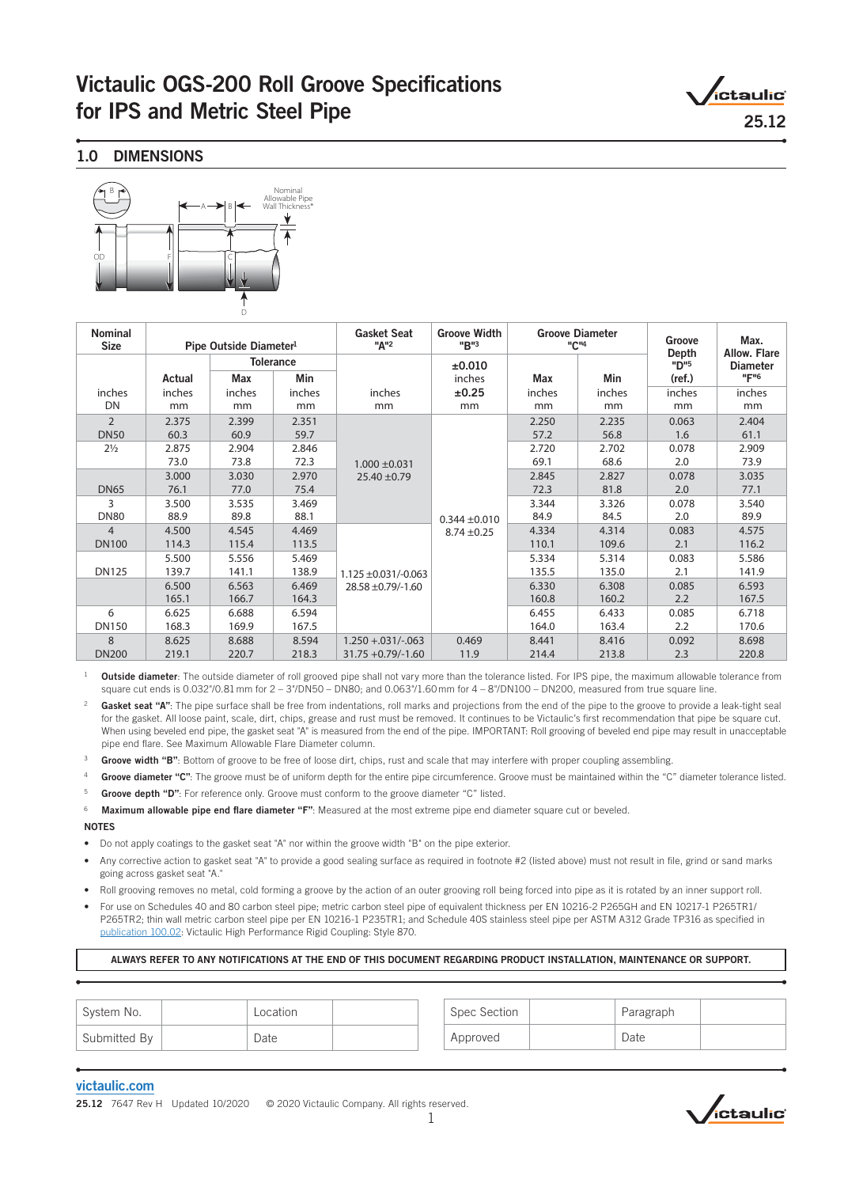# Victaulic OGS-200 Roll Groove Specifications for IPS and Metric Steel Pipe 25.12

,<br>ictaulic°

# 1.0 DIMENSIONS



| <b>Nominal</b><br><b>Size</b> | Pipe Outside Diameter <sup>1</sup> |        | <b>Gasket Seat</b><br>"A" <sup>2</sup> | <b>Groove Width</b><br><b>Groove Diameter</b><br>"B"3<br>"C" <sup>4</sup> |                   |            | Groove<br>Depth | Max.<br>Allow. Flare |                  |
|-------------------------------|------------------------------------|--------|----------------------------------------|---------------------------------------------------------------------------|-------------------|------------|-----------------|----------------------|------------------|
|                               |                                    |        | <b>Tolerance</b>                       |                                                                           | ±0.010            |            |                 | "D" <sup>5</sup>     | <b>Diameter</b>  |
|                               | Actual                             | Max    | Min                                    |                                                                           | inches            | <b>Max</b> | Min             | (ref.)               | "F" <sup>6</sup> |
| inches                        | inches                             | inches | inches                                 | inches                                                                    | ±0.25             | inches     | inches          | inches               | inches           |
| DN                            | mm                                 | mm     | mm                                     | mm                                                                        | mm                | mm         | mm              | mm                   | mm               |
| $\overline{2}$                | 2.375                              | 2.399  | 2.351                                  |                                                                           |                   | 2.250      | 2.235           | 0.063                | 2.404            |
| <b>DN50</b>                   | 60.3                               | 60.9   | 59.7                                   |                                                                           |                   | 57.2       | 56.8            | 1.6                  | 61.1             |
| $2\frac{1}{2}$                | 2.875                              | 2.904  | 2.846                                  |                                                                           |                   | 2.720      | 2.702           | 0.078                | 2.909            |
|                               | 73.0                               | 73.8   | 72.3                                   | $1.000 \pm 0.031$                                                         |                   | 69.1       | 68.6            | 2.0                  | 73.9             |
|                               | 3.000                              | 3.030  | 2.970                                  | $25.40 \pm 0.79$                                                          |                   | 2.845      | 2.827           | 0.078                | 3.035            |
| <b>DN65</b>                   | 76.1                               | 77.0   | 75.4                                   |                                                                           |                   | 72.3       | 81.8            | 2.0                  | 77.1             |
| 3                             | 3.500                              | 3.535  | 3.469                                  |                                                                           |                   | 3.344      | 3.326           | 0.078                | 3.540            |
| <b>DN80</b>                   | 88.9                               | 89.8   | 88.1                                   |                                                                           | $0.344 \pm 0.010$ | 84.9       | 84.5            | 2.0                  | 89.9             |
| $\overline{4}$                | 4.500                              | 4.545  | 4.469                                  |                                                                           | $8.74 \pm 0.25$   | 4.334      | 4.314           | 0.083                | 4.575            |
| <b>DN100</b>                  | 114.3                              | 115.4  | 113.5                                  |                                                                           |                   | 110.1      | 109.6           | 2.1                  | 116.2            |
|                               | 5.500                              | 5.556  | 5.469                                  |                                                                           |                   | 5.334      | 5.314           | 0.083                | 5.586            |
| <b>DN125</b>                  | 139.7                              | 141.1  | 138.9                                  | $1.125 \pm 0.031/-0.063$                                                  |                   | 135.5      | 135.0           | 2.1                  | 141.9            |
|                               | 6.500                              | 6.563  | 6.469                                  | 28.58 ±0.79/-1.60                                                         |                   | 6.330      | 6.308           | 0.085                | 6.593            |
|                               | 165.1                              | 166.7  | 164.3                                  |                                                                           |                   | 160.8      | 160.2           | 2.2                  | 167.5            |
| 6                             | 6.625                              | 6.688  | 6.594                                  |                                                                           |                   | 6.455      | 6.433           | 0.085                | 6.718            |
| <b>DN150</b>                  | 168.3                              | 169.9  | 167.5                                  |                                                                           |                   | 164.0      | 163.4           | 2.2                  | 170.6            |
| 8                             | 8.625                              | 8.688  | 8.594                                  | $1.250 + 0.031/-063$                                                      | 0.469             | 8.441      | 8.416           | 0.092                | 8.698            |
| <b>DN200</b>                  | 219.1                              | 220.7  | 218.3                                  | $31.75 + 0.79/-1.60$                                                      | 11.9              | 214.4      | 213.8           | 2.3                  | 220.8            |

- <sup>1</sup> Outside diameter: The outside diameter of roll grooved pipe shall not vary more than the tolerance listed. For IPS pipe, the maximum allowable tolerance from square cut ends is 0.032"/0.81 mm for  $2 - 3$ "/DN50 – DN80; and 0.063"/1.60 mm for  $4 - 8$ "/DN100 – DN200, measured from true square line.
- Gasket seat "A": The pipe surface shall be free from indentations, roll marks and projections from the end of the pipe to the groove to provide a leak-tight seal for the gasket. All loose paint, scale, dirt, chips, grease and rust must be removed. It continues to be Victaulic's first recommendation that pipe be square cut. When using beveled end pipe, the gasket seat "A" is measured from the end of the pipe. IMPORTANT: Roll grooving of beveled end pipe may result in unacceptable pipe end flare. See Maximum Allowable Flare Diameter column.
- Groove width "B": Bottom of groove to be free of loose dirt, chips, rust and scale that may interfere with proper coupling assembling.
- Groove diameter "C": The groove must be of uniform depth for the entire pipe circumference. Groove must be maintained within the "C" diameter tolerance listed.
- <sup>5</sup> Groove depth "D": For reference only. Groove must conform to the groove diameter "C" listed.
- 6 Maximum allowable pipe end flare diameter "F": Measured at the most extreme pipe end diameter square cut or beveled.

NOTES

- Do not apply coatings to the gasket seat "A" nor within the groove width "B" on the pipe exterior.
- Any corrective action to gasket seat "A" to provide a good sealing surface as required in footnote #2 (listed above) must not result in file, grind or sand marks going across gasket seat "A."
- Roll grooving removes no metal, cold forming a groove by the action of an outer grooving roll being forced into pipe as it is rotated by an inner support roll.
- For use on Schedules 40 and 80 carbon steel pipe; metric carbon steel pipe of equivalent thickness per EN 10216-2 P265GH and EN 10217-1 P265TR1/ P265TR2; thin wall metric carbon steel pipe per EN 10216-1 P235TR1; and Schedule 40S stainless steel pipe per ASTM A312 Grade TP316 as specified in [publication 100.02](https://www.victaulic.com/assets/uploads/literature/100.02.pdf): Victaulic High Performance Rigid Coupling: Style 870.

# ALWAYS REFER TO ANY NOTIFICATIONS AT THE END OF THIS DOCUMENT REGARDING PRODUCT INSTALLATION, MAINTENANCE OR SUPPORT.

| System No.   | Location | Spec Section | Paragraph |  |
|--------------|----------|--------------|-----------|--|
| Submitted By | Date     | Approved     | Date      |  |

## [victaulic.com](http://www.victaulic.com)

25.12 7647 Rev H Updated 10/2020 © 2020 Victaulic Company. All rights reserved.

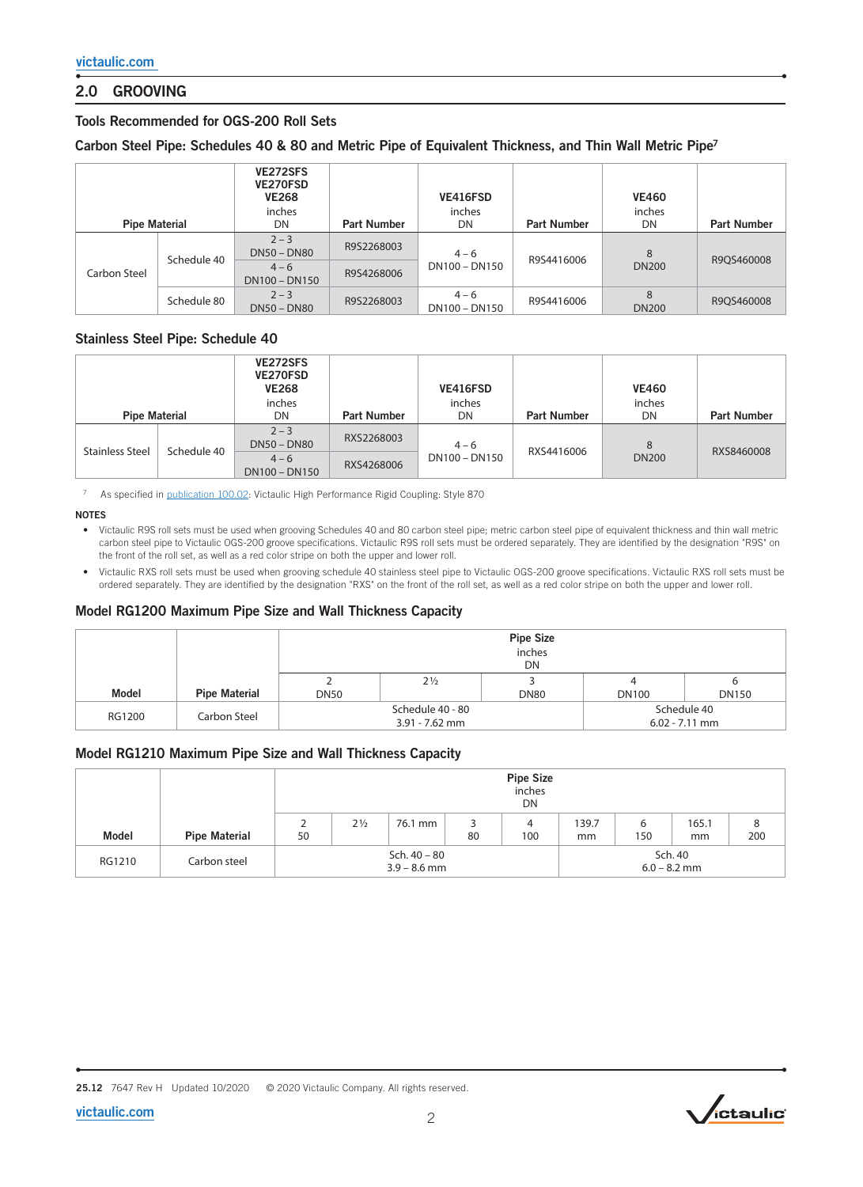# 2.0 GROOVING

# Tools Recommended for OGS-200 Roll Sets

## Carbon Steel Pipe: Schedules 40 & 80 and Metric Pipe of Equivalent Thickness, and Thin Wall Metric Pipe<sup>7</sup>

| <b>Pipe Material</b> |             | VE272SFS<br>VE270FSD<br><b>VE268</b><br>inches<br>DN | <b>Part Number</b> | VE416FSD<br>inches<br>DN | <b>Part Number</b> | <b>VE460</b><br>inches<br>DN | <b>Part Number</b> |  |
|----------------------|-------------|------------------------------------------------------|--------------------|--------------------------|--------------------|------------------------------|--------------------|--|
| Carbon Steel         |             | $2 - 3$<br><b>DN50 - DN80</b>                        | R9S2268003         | $4 - 6$                  |                    | 8                            |                    |  |
|                      | Schedule 40 | $4 - 6$<br>DN100 - DN150                             |                    | DN100 - DN150            | R9S4416006         | <b>DN200</b>                 | R9OS460008         |  |
|                      | Schedule 80 | $2 - 3$<br><b>DN50 - DN80</b>                        | R9S2268003         | $4 - 6$<br>DN100 - DN150 | R9S4416006         | 8<br><b>DN200</b>            | R9QS460008         |  |

## Stainless Steel Pipe: Schedule 40

| <b>Pipe Material</b>   |             | VE272SFS<br><b>VE270FSD</b><br><b>VE268</b><br>inches<br>DN | <b>Part Number</b> | VE416FSD<br>inches<br>DN | <b>Part Number</b> | <b>VE460</b><br>inches<br>DN | <b>Part Number</b> |
|------------------------|-------------|-------------------------------------------------------------|--------------------|--------------------------|--------------------|------------------------------|--------------------|
| <b>Stainless Steel</b> | Schedule 40 | $2 - 3$<br>$DN50 - DN80$                                    | RXS2268003         | $4 - 6$                  | RXS4416006         | 8                            | RXS8460008         |
|                        |             | $4 - 6$<br>DN100 - DN150                                    | RXS4268006         | DN100 - DN150            |                    | <b>DN200</b>                 |                    |

7 As specified in [publication 100.02](https://www.victaulic.com/assets/uploads/literature/100.02.pdf): Victaulic High Performance Rigid Coupling: Style 870

### NOTES

- Victaulic R9S roll sets must be used when grooving Schedules 40 and 80 carbon steel pipe; metric carbon steel pipe of equivalent thickness and thin wall metric carbon steel pipe to Victaulic OGS-200 groove specifications. Victaulic R9S roll sets must be ordered separately. They are identified by the designation "R9S" on the front of the roll set, as well as a red color stripe on both the upper and lower roll.
- Victaulic RXS roll sets must be used when grooving schedule 40 stainless steel pipe to Victaulic OGS-200 groove specifications. Victaulic RXS roll sets must be ordered separately. They are identified by the designation "RXS" on the front of the roll set, as well as a red color stripe on both the upper and lower roll.

## Model RG1200 Maximum Pipe Size and Wall Thickness Capacity

|        |                      | <b>Pipe Size</b><br>inches<br>DN |                  |                  |              |              |  |  |  |
|--------|----------------------|----------------------------------|------------------|------------------|--------------|--------------|--|--|--|
|        |                      |                                  | $2\frac{1}{2}$   |                  |              |              |  |  |  |
| Model  | <b>Pipe Material</b> | <b>DN50</b>                      |                  | <b>DN80</b>      | <b>DN100</b> | <b>DN150</b> |  |  |  |
| RG1200 |                      |                                  | Schedule 40 - 80 | Schedule 40      |              |              |  |  |  |
|        | Carbon Steel         |                                  | $3.91 - 7.62$ mm | $6.02 - 7.11$ mm |              |              |  |  |  |

# Model RG1210 Maximum Pipe Size and Wall Thickness Capacity

|        |                      | <b>Pipe Size</b><br>inches<br>DN |                |         |    |          |             |                           |             |          |
|--------|----------------------|----------------------------------|----------------|---------|----|----------|-------------|---------------------------|-------------|----------|
| Model  | <b>Pipe Material</b> | 50                               | $2\frac{1}{2}$ | 76.1 mm | 80 | 4<br>100 | 139.7<br>mm | 6<br>150                  | 165.1<br>mm | 8<br>200 |
| RG1210 | Carbon steel         | Sch. 40 - 80<br>$3.9 - 8.6$ mm   |                |         |    |          |             | Sch. 40<br>$6.0 - 8.2$ mm |             |          |

25.12 7647 Rev H Updated 10/2020 © 2020 Victaulic Company. All rights reserved.